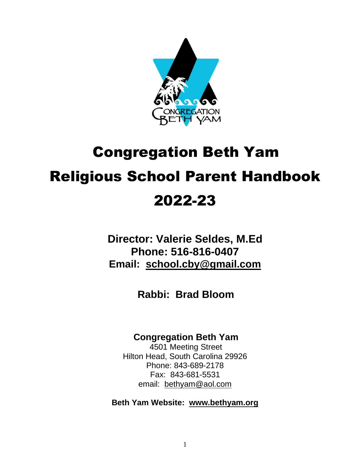

# Congregation Beth Yam Religious School Parent Handbook 2022-23

**Director: Valerie Seldes, M.Ed Phone: 516-816-0407 Email: [school.cby@gmail.com](mailto:school.cby@gmail.com)**

**Rabbi: Brad Bloom**

#### **Congregation Beth Yam**

4501 Meeting Street Hilton Head, South Carolina 29926 Phone: 843-689-2178 Fax: 843-681-5531 email: bethyam@aol.com

**Beth Yam Website: [www.bethyam.org](http://www.bethyam.org/)**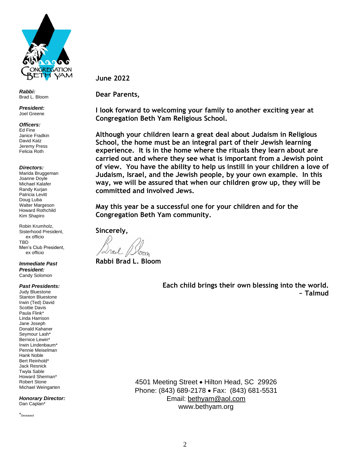

*Rabbi:* Brad L. Bloom

*President:* Joel Greene

*Officers:*

Ed Fine Janice Fradkin David Katz Jeremy Press Felicia Roth

*Directors:*

Marida Bruggeman Joanne Doyle Michael Kalafer Randy Kurjan Patricia Levitt Doug Luba Walter Margeson Howard Rothchild Kim Shapiro

Robin Krumholz, Sisterhood President, ex officio TBD Men's Club President, ex officio

*Immediate Past President:* Candy Solomon

*Past Presidents:* Judy Bluestone Stanton Bluestone Irwin (Ted) David Scottie Davis Paula Flink\* Linda Harrison Jane Joseph Donald Kahaner Seymour Lash\* Bernice Lewin\* Irwin Lindenbaum\* Pennie Meiselman Hank Noble Bert Reinhold\* Jack Resnick Twyla Sable Howard Sherman\* Robert Stone Michael Weingarten

*Honorary Director:* Dan Caplan\*

\*Deceased

**June 2022**

**Dear Parents,**

**I look forward to welcoming your family to another exciting year at Congregation Beth Yam Religious School.**

**Although your children learn a great deal about Judaism in Religious School, the home must be an integral part of their Jewish learning experience. It is in the home where the rituals they learn about are carried out and where they see what is important from a Jewish point of view. You have the ability to help us instill in your children a love of Judaism, Israel, and the Jewish people, by your own example. In this way, we will be assured that when our children grow up, they will be committed and involved Jews.**

**May this year be a successful one for your children and for the Congregation Beth Yam community.**

**Sincerely,**

**Rabbi Brad L. Bloom**

**Each child brings their own blessing into the world. ~ Talmud**

4501 Meeting Street • Hilton Head, SC 29926 Phone: (843) 689-2178 • Fax: (843) 681-5531 Email: [bethyam@aol.com](mailto:bethyam@aol.com) www.bethyam.org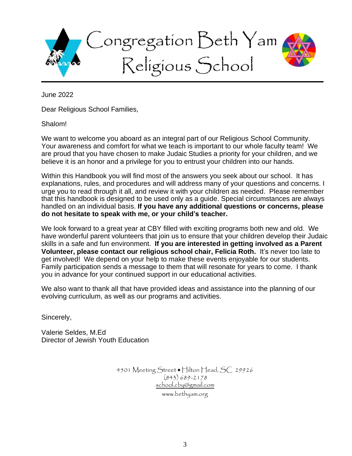

June 2022

Dear Religious School Families,

#### Shalom!

We want to welcome you aboard as an integral part of our Religious School Community. Your awareness and comfort for what we teach is important to our whole faculty team! We are proud that you have chosen to make Judaic Studies a priority for your children, and we believe it is an honor and a privilege for you to entrust your children into our hands.

Within this Handbook you will find most of the answers you seek about our school. It has explanations, rules, and procedures and will address many of your questions and concerns. I urge you to read through it all, and review it with your children as needed. Please remember that this handbook is designed to be used only as a guide. Special circumstances are always handled on an individual basis. **If you have any additional questions or concerns, please do not hesitate to speak with me, or your child's teacher.**

We look forward to a great year at CBY filled with exciting programs both new and old. We have wonderful parent volunteers that join us to ensure that your children develop their Judaic skills in a safe and fun environment. **If you are interested in getting involved as a Parent Volunteer, please contact our religious school chair, Felicia Roth.** It's never too late to get involved! We depend on your help to make these events enjoyable for our students. Family participation sends a message to them that will resonate for years to come. I thank you in advance for your continued support in our educational activities.

We also want to thank all that have provided ideas and assistance into the planning of our evolving curriculum, as well as our programs and activities.

Sincerely,

Valerie Seldes, M.Ed Director of Jewish Youth Education

> 4501 Meeting Street • Hilton Head, SC 29926 (843) 689-2178 [school.cby@gmail.com](mailto:school.cby@gmail.com) www.bethyam.org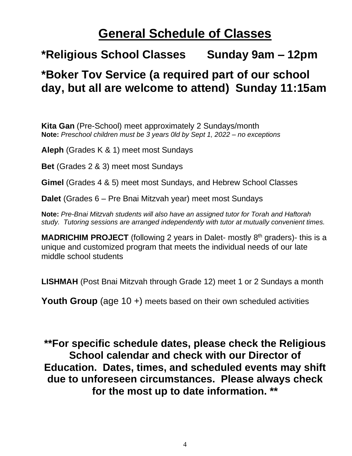# **General Schedule of Classes**

#### **\*Religious School Classes Sunday 9am – 12pm**

#### **\*Boker Tov Service (a required part of our school day, but all are welcome to attend) Sunday 11:15am**

**Kita Gan** (Pre-School) meet approximately 2 Sundays/month **Note:** *Preschool children must be 3 years 0ld by Sept 1, 2022 – no exceptions*

**Aleph** (Grades K & 1) meet most Sundays

**Bet** (Grades 2 & 3) meet most Sundays

**Gimel** (Grades 4 & 5) meet most Sundays, and Hebrew School Classes

**Dalet** (Grades 6 – Pre Bnai Mitzvah year) meet most Sundays

**Note:** *Pre-Bnai Mitzvah students will also have an assigned tutor for Torah and Haftorah study. Tutoring sessions are arranged independently with tutor at mutually convenient times.*

**MADRICHIM PROJECT** (following 2 years in Dalet- mostly 8<sup>th</sup> graders)- this is a unique and customized program that meets the individual needs of our late middle school students

**LISHMAH** (Post Bnai Mitzvah through Grade 12) meet 1 or 2 Sundays a month

**Youth Group** (age 10 +) meets based on their own scheduled activities

**\*\*For specific schedule dates, please check the Religious School calendar and check with our Director of Education. Dates, times, and scheduled events may shift due to unforeseen circumstances. Please always check for the most up to date information. \*\***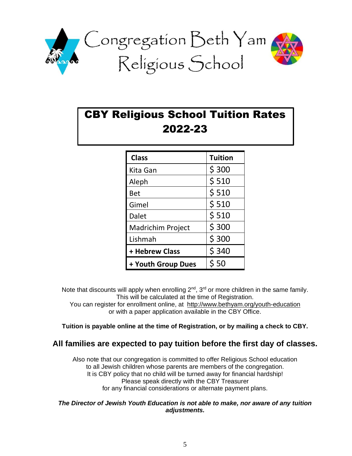

#### CBY Religious School Tuition Rates 2022-23

| <b>Class</b>             | <b>Tuition</b> |
|--------------------------|----------------|
| Kita Gan                 | \$300          |
| Aleph                    | \$510          |
| <b>Bet</b>               | \$510          |
| Gimel                    | \$510          |
| <b>Dalet</b>             | \$510          |
| <b>Madrichim Project</b> | \$300          |
| Lishmah                  | \$300          |
| + Hebrew Class           | \$340          |
| + Youth Group Dues       | \$50           |

Note that discounts will apply when enrolling  $2^{nd}$ ,  $3^{rd}$  or more children in the same family. This will be calculated at the time of Registration.

You can register for enrollment online, at <http://www.bethyam.org/youth-education> or with a paper application available in the CBY Office.

**Tuition is payable online at the time of Registration, or by mailing a check to CBY.**

#### **All families are expected to pay tuition before the first day of classes.**

Also note that our congregation is committed to offer Religious School education to all Jewish children whose parents are members of the congregation. It is CBY policy that no child will be turned away for financial hardship! Please speak directly with the CBY Treasurer for any financial considerations or alternate payment plans.

#### *The Director of Jewish Youth Education is not able to make, nor aware of any tuition adjustments.*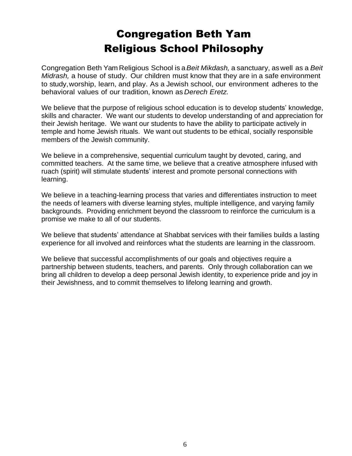#### Congregation Beth Yam Religious School Philosophy

Congregation Beth Yam Religious School is a*Beit Mikdash,* a sanctuary, aswell as a *Beit Midrash,* a house of study. Our children must know that they are in a safe environment to study,worship, learn, and play. As a Jewish school, our environment adheres to the behavioral values of our tradition, known as *Derech Eretz.*

We believe that the purpose of religious school education is to develop students' knowledge, skills and character. We want our students to develop understanding of and appreciation for their Jewish heritage. We want our students to have the ability to participate actively in temple and home Jewish rituals. We want out students to be ethical, socially responsible members of the Jewish community.

We believe in a comprehensive, sequential curriculum taught by devoted, caring, and committed teachers. At the same time, we believe that a creative atmosphere infused with ruach (spirit) will stimulate students' interest and promote personal connections with learning.

We believe in a teaching-learning process that varies and differentiates instruction to meet the needs of learners with diverse learning styles, multiple intelligence, and varying family backgrounds. Providing enrichment beyond the classroom to reinforce the curriculum is a promise we make to all of our students.

We believe that students' attendance at Shabbat services with their families builds a lasting experience for all involved and reinforces what the students are learning in the classroom.

We believe that successful accomplishments of our goals and objectives require a partnership between students, teachers, and parents. Only through collaboration can we bring all children to develop a deep personal Jewish identity, to experience pride and joy in their Jewishness, and to commit themselves to lifelong learning and growth.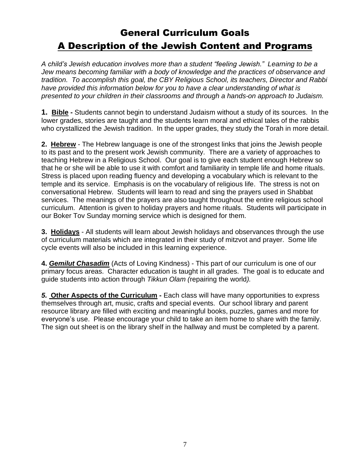#### General Curriculum Goals A Description of the Jewish Content and Programs

*A child's Jewish education involves more than a student "feeling Jewish." Learning to be a Jew means becoming familiar with a body of knowledge and the practices of observance and tradition. To accomplish this goal, the CBY Religious School, its teachers, Director and Rabbi have provided this information below for you to have a clear understanding of what is presented to your children in their classrooms and through a hands-on approach to Judaism.*

**1. Bible -** Students cannot begin to understand Judaism without a study of its sources. In the lower grades, stories are taught and the students learn moral and ethical tales of the rabbis who crystallized the Jewish tradition. In the upper grades, they study the Torah in more detail.

**2. Hebrew** - The Hebrew language is one of the strongest links that joins the Jewish people to its past and to the present work Jewish community. There are a variety of approaches to teaching Hebrew in a Religious School. Our goal is to give each student enough Hebrew so that he or she will be able to use it with comfort and familiarity in temple life and home rituals. Stress is placed upon reading fluency and developing a vocabulary which is relevant to the temple and its service. Emphasis is on the vocabulary of religious life. The stress is not on conversational Hebrew. Students will learn to read and sing the prayers used in Shabbat services. The meanings of the prayers are also taught throughout the entire religious school curriculum. Attention is given to holiday prayers and home rituals. Students will participate in our Boker Tov Sunday morning service which is designed for them.

**3. Holidays** - All students will learn about Jewish holidays and observances through the use of curriculum materials which are integrated in their study of mitzvot and prayer. Some life cycle events will also be included in this learning experience.

**4.** *Gemilut Chasadim* (Acts of Loving Kindness) - This part of our curriculum is one of our primary focus areas. Character education is taught in all grades. The goal is to educate and guide students into action through *Tikkun Olam (*repairing the world*).* 

*5.* **Other Aspects of the Curriculum -** Each class will have many opportunities to express themselves through art, music, crafts and special events. Our school library and parent resource library are filled with exciting and meaningful books, puzzles, games and more for everyone's use. Please encourage your child to take an item home to share with the family. The sign out sheet is on the library shelf in the hallway and must be completed by a parent.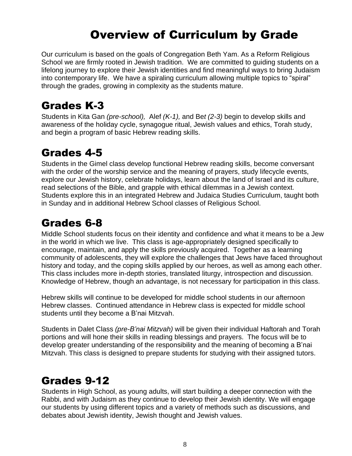### Overview of Curriculum by Grade

Our curriculum is based on the goals of Congregation Beth Yam. As a Reform Religious School we are firmly rooted in Jewish tradition. We are committed to guiding students on a lifelong journey to explore their Jewish identities and find meaningful ways to bring Judaism into contemporary life. We have a spiraling curriculum allowing multiple topics to "spiral" through the grades, growing in complexity as the students mature.

#### Grades K-3

Students in Kita Gan *(pre-school),* Alef *(K-1),* and Be*t (2-3)* begin to develop skills and awareness of the holiday cycle, synagogue ritual, Jewish values and ethics, Torah study, and begin a program of basic Hebrew reading skills.

#### Grades 4-5

Students in the Gimel class develop functional Hebrew reading skills, become conversant with the order of the worship service and the meaning of prayers, study lifecycle events, explore our Jewish history, celebrate holidays, learn about the land of Israel and its culture, read selections of the Bible, and grapple with ethical dilemmas in a Jewish context. Students explore this in an integrated Hebrew and Judaica Studies Curriculum, taught both in Sunday and in additional Hebrew School classes of Religious School.

#### Grades 6-8

Middle School students focus on their identity and confidence and what it means to be a Jew in the world in which we live. This class is age-appropriately designed specifically to encourage, maintain, and apply the skills previously acquired. Together as a learning community of adolescents, they will explore the challenges that Jews have faced throughout history and today, and the coping skills applied by our heroes, as well as among each other. This class includes more in-depth stories, translated liturgy, introspection and discussion. Knowledge of Hebrew, though an advantage, is not necessary for participation in this class.

Hebrew skills will continue to be developed for middle school students in our afternoon Hebrew classes. Continued attendance in Hebrew class is expected for middle school students until they become a B'nai Mitzvah.

Students in Dalet Class *(pre-B'nai Mitzvah)* will be given their individual Haftorah and Torah portions and will hone their skills in reading blessings and prayers. The focus will be to develop greater understanding of the responsibility and the meaning of becoming a B'nai Mitzvah. This class is designed to prepare students for studying with their assigned tutors.

#### Grades 9-12

Students in High School, as young adults, will start building a deeper connection with the Rabbi, and with Judaism as they continue to develop their Jewish identity. We will engage our students by using different topics and a variety of methods such as discussions, and debates about Jewish identity, Jewish thought and Jewish values.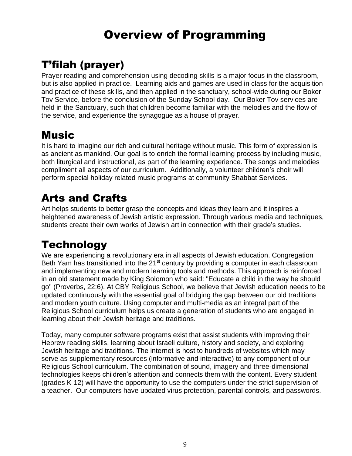### Overview of Programming

### T'filah (prayer)

Prayer reading and comprehension using decoding skills is a major focus in the classroom, but is also applied in practice. Learning aids and games are used in class for the acquisition and practice of these skills, and then applied in the sanctuary, school-wide during our Boker Tov Service, before the conclusion of the Sunday School day. Our Boker Tov services are held in the Sanctuary, such that children become familiar with the melodies and the flow of the service, and experience the synagogue as a house of prayer.

#### **Music**

It is hard to imagine our rich and cultural heritage without music. This form of expression is as ancient as mankind. Our goal is to enrich the formal learning process by including music, both liturgical and instructional, as part of the learning experience. The songs and melodies compliment all aspects of our curriculum. Additionally, a volunteer children's choir will perform special holiday related music programs at community Shabbat Services.

#### Arts and Crafts

Art helps students to better grasp the concepts and ideas they learn and it inspires a heightened awareness of Jewish artistic expression. Through various media and techniques, students create their own works of Jewish art in connection with their grade's studies.

### **Technology**

We are experiencing a revolutionary era in all aspects of Jewish education. Congregation Beth Yam has transitioned into the 21<sup>st</sup> century by providing a computer in each classroom and implementing new and modern learning tools and methods. This approach is reinforced in an old statement made by King Solomon who said: "Educate a child in the way he should go" (Proverbs, 22:6). At CBY Religious School, we believe that Jewish education needs to be updated continuously with the essential goal of bridging the gap between our old traditions and modern youth culture. Using computer and multi-media as an integral part of the Religious School curriculum helps us create a generation of students who are engaged in learning about their Jewish heritage and traditions.

Today, many computer software programs exist that assist students with improving their Hebrew reading skills, learning about Israeli culture, history and society, and exploring Jewish heritage and traditions. The internet is host to hundreds of websites which may serve as supplementary resources (informative and interactive) to any component of our Religious School curriculum. The combination of sound, imagery and three-dimensional technologies keeps children's attention and connects them with the content. Every student (grades K-12) will have the opportunity to use the computers under the strict supervision of a teacher. Our computers have updated virus protection, parental controls, and passwords.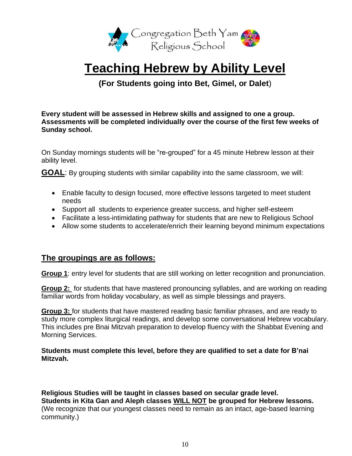

# **Teaching Hebrew by Ability Level**

**(For Students going into Bet, Gimel, or Dalet**)

**Every student will be assessed in Hebrew skills and assigned to one a group. Assessments will be completed individually over the course of the first few weeks of Sunday school.**

On Sunday mornings students will be "re-grouped" for a 45 minute Hebrew lesson at their ability level.

**GOAL**: By grouping students with similar capability into the same classroom, we will:

- Enable faculty to design focused, more effective lessons targeted to meet student needs
- Support all students to experience greater success, and higher self-esteem
- Facilitate a less-intimidating pathway for students that are new to Religious School
- Allow some students to accelerate/enrich their learning beyond minimum expectations

#### **The groupings are as follows:**

**Group 1**: entry level for students that are still working on letter recognition and pronunciation.

**Group 2:** for students that have mastered pronouncing syllables, and are working on reading familiar words from holiday vocabulary, as well as simple blessings and prayers.

**Group 3:** for students that have mastered reading basic familiar phrases, and are ready to study more complex liturgical readings, and develop some conversational Hebrew vocabulary. This includes pre Bnai Mitzvah preparation to develop fluency with the Shabbat Evening and Morning Services.

**Students must complete this level, before they are qualified to set a date for B'nai Mitzvah.**

**Religious Studies will be taught in classes based on secular grade level. Students in Kita Gan and Aleph classes WILL NOT be grouped for Hebrew lessons.**  (We recognize that our youngest classes need to remain as an intact, age-based learning community.)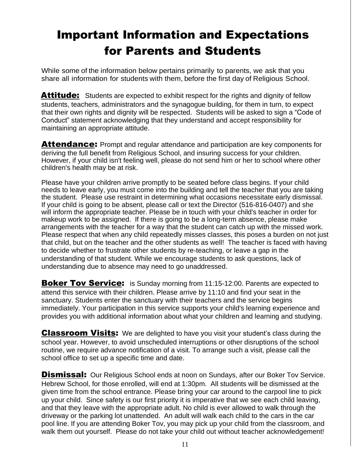# Important Information and Expectations for Parents and Students

While some of the information below pertains primarily to parents, we ask that you share all information for students with them, before the first day of Religious School.

**Attitude:** Students are expected to exhibit respect for the rights and dignity of fellow students, teachers, administrators and the synagogue building, for them in turn, to expect that their own rights and dignity will be respected. Students will be asked to sign a "Code of Conduct" statement acknowledging that they understand and accept responsibility for maintaining an appropriate attitude.

**Attendance:** Prompt and regular attendance and participation are key components for deriving the full benefit from Religious School, and insuring success for your children. However, if your child isn't feeling well, please do not send him or her to school where other children's health may be at risk.

Please have your children arrive promptly to be seated before class begins. If your child needs to leave early, you must come into the building and tell the teacher that you are taking the student. Please use restraint in determining what occasions necessitate early dismissal. If your child is going to be absent, please call or text the Director (516-816-0407) and she will inform the appropriate teacher. Please be in touch with your child's teacher in order for makeup work to be assigned. If there is going to be a long-term absence, please make arrangements with the teacher for a way that the student can catch up with the missed work. Please respect that when any child repeatedly misses classes, this poses a burden on not just that child, but on the teacher and the other students as well! The teacher is faced with having to decide whether to frustrate other students by re-teaching, or leave a gap in the understanding of that student. While we encourage students to ask questions, lack of understanding due to absence may need to go unaddressed.

**Boker Tov Service:** is Sunday morning from 11:15-12:00. Parents are expected to attend this service with their children. Please arrive by 11:10 and find your seat in the sanctuary. Students enter the sanctuary with their teachers and the service begins immediately. Your participation in this service supports your child's learning experience and provides you with additional information about what your children and learning and studying.

**Classroom Visits:** We are delighted to have you visit your student's class during the school year. However, to avoid unscheduled interruptions or other disruptions of the school routine, we require advance notification of a visit. To arrange such a visit, please call the school office to set up a specific time and date.

**Dismissal:** Our Religious School ends at noon on Sundays, after our Boker Tov Service. Hebrew School, for those enrolled, will end at 1:30pm. All students will be dismissed at the given time from the school entrance. Please bring your car around to the carpool line to pick up your child. Since safety is our first priority it is imperative that we see each child leaving, and that they leave with the appropriate adult. No child is ever allowed to walk through the driveway or the parking lot unattended. An adult will walk each child to the cars in the car pool line. If you are attending Boker Tov, you may pick up your child from the classroom, and walk them out yourself. Please do not take your child out without teacher acknowledgement!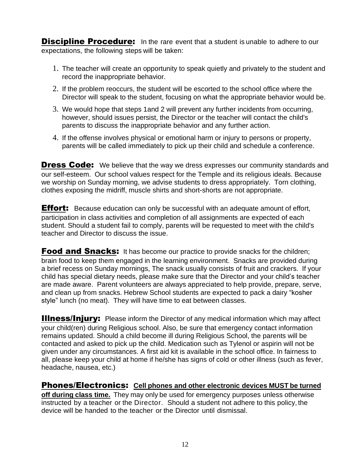**Discipline Procedure:** In the rare event that a student is unable to adhere to our expectations, the following steps will be taken:

- 1. The teacher will create an opportunity to speak quietly and privately to the student and record the inappropriate behavior.
- 2. If the problem reoccurs, the student will be escorted to the school office where the Director will speak to the student, focusing on what the appropriate behavior would be.
- 3. We would hope that steps 1and 2 will prevent any further incidents from occurring, however, should issues persist, the Director or the teacher will contact the child's parents to discuss the inappropriate behavior and any further action.
- 4. If the offense involves physical or emotional harm or injury to persons or property, parents will be called immediately to pick up their child and schedule a conference.

**Dress Code:** We believe that the way we dress expresses our community standards and our self-esteem. Our school values respect for the Temple and its religious ideals. Because we worship on Sunday morning, we advise students to dress appropriately. Torn clothing, clothes exposing the midriff, muscle shirts and short-shorts are not appropriate.

**Effort:** Because education can only be successful with an adequate amount of effort, participation in class activities and completion of all assignments are expected of each student. Should a student fail to comply, parents will be requested to meet with the child's teacher and Director to discuss the issue.

**Food and Snacks:** It has become our practice to provide snacks for the children; brain food to keep them engaged in the learning environment. Snacks are provided during a brief recess on Sunday mornings, The snack usually consists of fruit and crackers. If your child has special dietary needs, please make sure that the Director and your child's teacher are made aware. Parent volunteers are always appreciated to help provide, prepare, serve, and clean up from snacks. Hebrew School students are expected to pack a dairy "kosher style" lunch (no meat). They will have time to eat between classes.

**Illness/Injury:** Please inform the Director of any medical information which may affect your child(ren) during Religious school. Also, be sure that emergency contact information remains updated. Should a child become ill during Religious School, the parents will be contacted and asked to pick up the child. Medication such as Tylenol or aspirin will not be given under any circumstances. A first aid kit is available in the school office. In fairness to all, please keep your child at home if he/she has signs of cold or other illness (such as fever, headache, nausea, etc.)

Phones/Electronics: **Cell phones and other electronic devices MUST be turned off during class time.** They may only be used for emergency purposes unless otherwise instructed by a teacher or the Director. Should a student not adhere to this policy, the device will be handed to the teacher or the Director until dismissal.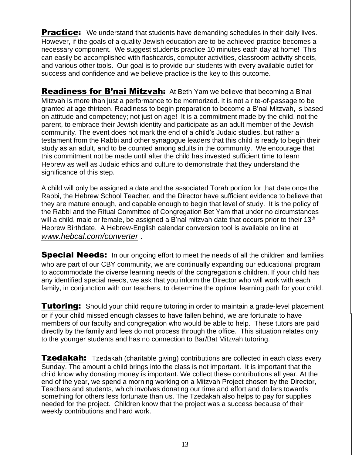**Practice:** We understand that students have demanding schedules in their daily lives. However, if the goals of a quality Jewish education are to be achieved practice becomes a necessary component. We suggest students practice 10 minutes each day at home! This can easily be accomplished with flashcards, computer activities, classroom activity sheets, and various other tools. Our goal is to provide our students with every available outlet for success and confidence and we believe practice is the key to this outcome.

Readiness for B'nai Mitzvah: At Beth Yam we believe that becoming a B'nai Mitzvah is more than just a performance to be memorized. It is not a rite-of-passage to be granted at age thirteen. Readiness to begin preparation to become a B'nai Mitzvah, is based on attitude and competency; not just on age! It is a commitment made by the child, not the parent, to embrace their Jewish identity and participate as an adult member of the Jewish community. The event does not mark the end of a child's Judaic studies, but rather a testament from the Rabbi and other synagogue leaders that this child is ready to begin their study as an adult, and to be counted among adults in the community. We encourage that this commitment not be made until after the child has invested sufficient time to learn Hebrew as well as Judaic ethics and culture to demonstrate that they understand the significance of this step.

A child will only be assigned a date and the associated Torah portion for that date once the Rabbi, the Hebrew School Teacher, and the Director have sufficient evidence to believe that they are mature enough, and capable enough to begin that level of study. It is the policy of the Rabbi and the Ritual Committee of Congregation Bet Yam that under no circumstances will a child, male or female, be assigned a B'nai mitzvah date that occurs prior to their 13<sup>th</sup> Hebrew Birthdate. A Hebrew-English calendar conversion tool is available on line at *[www.hebcal.com/converter](http://www.hebcal.com/converter)* .

**Special Needs:** In our ongoing effort to meet the needs of all the children and families who are part of our CBY community, we are continually expanding our educational program to accommodate the diverse learning needs of the congregation's children. If your child has any identified special needs, we ask that you inform the Director who will work with each family, in conjunction with our teachers, to determine the optimal learning path for your child.

**Tutoring:** Should your child require tutoring in order to maintain a grade-level placement or if your child missed enough classes to have fallen behind, we are fortunate to have members of our faculty and congregation who would be able to help. These tutors are paid directly by the family and fees do not process through the office. This situation relates only to the younger students and has no connection to Bar/Bat Mitzvah tutoring.

**Tzedakah:** Tzedakah (charitable giving) contributions are collected in each class every Sunday. The amount a child brings into the class is not important. It is important that the child know why donating money is important. We collect these contributions all year. At the end of the year, we spend a morning working on a Mitzvah Project chosen by the Director, Teachers and students, which involves donating our time and effort and dollars towards something for others less fortunate than us. The Tzedakah also helps to pay for supplies needed for the project. Children know that the project was a success because of their weekly contributions and hard work.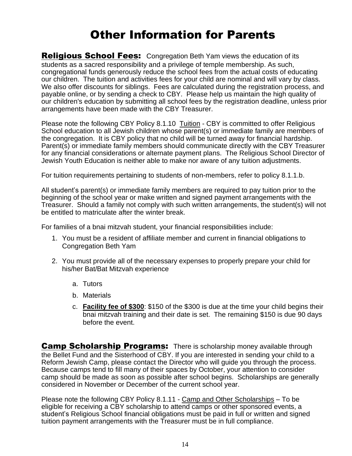### Other Information for Parents

**Religious School Fees:** Congregation Beth Yam views the education of its students as a sacred responsibility and a privilege of temple membership. As such, congregational funds generously reduce the school fees from the actual costs of educating our children. The tuition and activities fees for your child are nominal and will vary by class. We also offer discounts for siblings. Fees are calculated during the registration process, and payable online, or by sending a check to CBY. Please help us maintain the high quality of our children's education by submitting all school fees by the registration deadline, unless prior arrangements have been made with the CBY Treasurer.

Please note the following CBY Policy 8.1.10 Tuition - CBY is committed to offer Religious School education to all Jewish children whose parent(s) or immediate family are members of the congregation. It is CBY policy that no child will be turned away for financial hardship. Parent(s) or immediate family members should communicate directly with the CBY Treasurer for any financial considerations or alternate payment plans. The Religious School Director of Jewish Youth Education is neither able to make nor aware of any tuition adjustments.

For tuition requirements pertaining to students of non-members, refer to policy 8.1.1.b.

All student's parent(s) or immediate family members are required to pay tuition prior to the beginning of the school year or make written and signed payment arrangements with the Treasurer. Should a family not comply with such written arrangements, the student(s) will not be entitled to matriculate after the winter break.

For families of a bnai mitzvah student, your financial responsibilities include:

- 1. You must be a resident of affiliate member and current in financial obligations to Congregation Beth Yam
- 2. You must provide all of the necessary expenses to properly prepare your child for his/her Bat/Bat Mitzvah experience
	- a. Tutors
	- b. Materials
	- c. **Facility fee of \$300**: \$150 of the \$300 is due at the time your child begins their bnai mitzvah training and their date is set. The remaining \$150 is due 90 days before the event.

**Camp Scholarship Programs:** There is scholarship money available through the Bellet Fund and the Sisterhood of CBY. If you are interested in sending your child to a Reform Jewish Camp, please contact the Director who will guide you through the process. Because camps tend to fill many of their spaces by October, your attention to consider camp should be made as soon as possible after school begins. Scholarships are generally considered in November or December of the current school year.

Please note the following CBY Policy 8.1.11 - Camp and Other Scholarships – To be eligible for receiving a CBY scholarship to attend camps or other sponsored events, a student's Religious School financial obligations must be paid in full or written and signed tuition payment arrangements with the Treasurer must be in full compliance.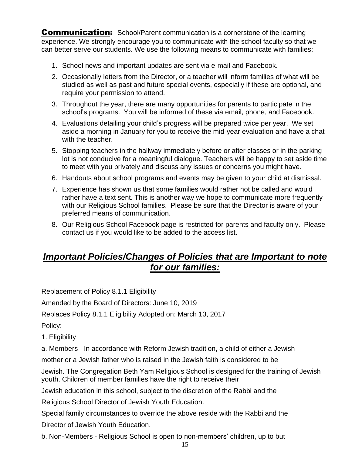**Communication:** School/Parent communication is a cornerstone of the learning experience. We strongly encourage you to communicate with the school faculty so that we can better serve our students. We use the following means to communicate with families:

- 1. School news and important updates are sent via e-mail and Facebook.
- 2. Occasionally letters from the Director, or a teacher will inform families of what will be studied as well as past and future special events, especially if these are optional, and require your permission to attend.
- 3. Throughout the year, there are many opportunities for parents to participate in the school's programs. You will be informed of these via email, phone, and Facebook.
- 4. Evaluations detailing your child's progress will be prepared twice per year. We set aside a morning in January for you to receive the mid-year evaluation and have a chat with the teacher.
- 5. Stopping teachers in the hallway immediately before or after classes or in the parking lot is not conducive for a meaningful dialogue. Teachers will be happy to set aside time to meet with you privately and discuss any issues or concerns you might have.
- 6. Handouts about school programs and events may be given to your child at dismissal.
- 7. Experience has shown us that some families would rather not be called and would rather have a text sent. This is another way we hope to communicate more frequently with our Religious School families. Please be sure that the Director is aware of your preferred means of communication.
- 8. Our Religious School Facebook page is restricted for parents and faculty only. Please contact us if you would like to be added to the access list.

#### *Important Policies/Changes of Policies that are Important to note for our families:*

Replacement of Policy 8.1.1 Eligibility

Amended by the Board of Directors: June 10, 2019

Replaces Policy 8.1.1 Eligibility Adopted on: March 13, 2017

Policy:

1. Eligibility

a. Members - In accordance with Reform Jewish tradition, a child of either a Jewish

mother or a Jewish father who is raised in the Jewish faith is considered to be

Jewish. The Congregation Beth Yam Religious School is designed for the training of Jewish youth. Children of member families have the right to receive their

Jewish education in this school, subject to the discretion of the Rabbi and the

Religious School Director of Jewish Youth Education.

Special family circumstances to override the above reside with the Rabbi and the

Director of Jewish Youth Education.

b. Non-Members - Religious School is open to non-members' children, up to but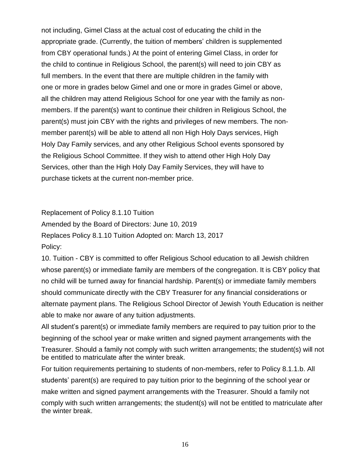not including, Gimel Class at the actual cost of educating the child in the appropriate grade. (Currently, the tuition of members' children is supplemented from CBY operational funds.) At the point of entering Gimel Class, in order for the child to continue in Religious School, the parent(s) will need to join CBY as full members. In the event that there are multiple children in the family with one or more in grades below Gimel and one or more in grades Gimel or above, all the children may attend Religious School for one year with the family as nonmembers. If the parent(s) want to continue their children in Religious School, the parent(s) must join CBY with the rights and privileges of new members. The nonmember parent(s) will be able to attend all non High Holy Days services, High Holy Day Family services, and any other Religious School events sponsored by the Religious School Committee. If they wish to attend other High Holy Day Services, other than the High Holy Day Family Services, they will have to purchase tickets at the current non-member price.

Replacement of Policy 8.1.10 Tuition

Amended by the Board of Directors: June 10, 2019

Replaces Policy 8.1.10 Tuition Adopted on: March 13, 2017

Policy:

10. Tuition - CBY is committed to offer Religious School education to all Jewish children whose parent(s) or immediate family are members of the congregation. It is CBY policy that no child will be turned away for financial hardship. Parent(s) or immediate family members should communicate directly with the CBY Treasurer for any financial considerations or alternate payment plans. The Religious School Director of Jewish Youth Education is neither able to make nor aware of any tuition adjustments.

All student's parent(s) or immediate family members are required to pay tuition prior to the beginning of the school year or make written and signed payment arrangements with the Treasurer. Should a family not comply with such written arrangements; the student(s) will not be entitled to matriculate after the winter break.

For tuition requirements pertaining to students of non-members, refer to Policy 8.1.1.b. All students' parent(s) are required to pay tuition prior to the beginning of the school year or make written and signed payment arrangements with the Treasurer. Should a family not comply with such written arrangements; the student(s) will not be entitled to matriculate after the winter break.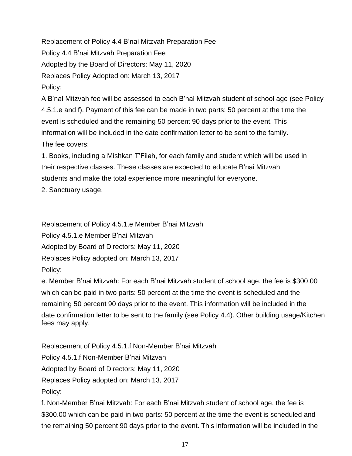Replacement of Policy 4.4 B'nai Mitzvah Preparation Fee Policy 4.4 B'nai Mitzvah Preparation Fee Adopted by the Board of Directors: May 11, 2020 Replaces Policy Adopted on: March 13, 2017 Policy:

A B'nai Mitzvah fee will be assessed to each B'nai Mitzvah student of school age (see Policy 4.5.1.e and f). Payment of this fee can be made in two parts: 50 percent at the time the event is scheduled and the remaining 50 percent 90 days prior to the event. This information will be included in the date confirmation letter to be sent to the family. The fee covers:

1. Books, including a Mishkan T'Filah, for each family and student which will be used in their respective classes. These classes are expected to educate B'nai Mitzvah students and make the total experience more meaningful for everyone.

2. Sanctuary usage.

Replacement of Policy 4.5.1.e Member B'nai Mitzvah

Policy 4.5.1.e Member B'nai Mitzvah

Adopted by Board of Directors: May 11, 2020

Replaces Policy adopted on: March 13, 2017

Policy:

e. Member B'nai Mitzvah: For each B'nai Mitzvah student of school age, the fee is \$300.00 which can be paid in two parts: 50 percent at the time the event is scheduled and the remaining 50 percent 90 days prior to the event. This information will be included in the date confirmation letter to be sent to the family (see Policy 4.4). Other building usage/Kitchen fees may apply.

Replacement of Policy 4.5.1.f Non-Member B'nai Mitzvah

Policy 4.5.1.f Non-Member B'nai Mitzvah

Adopted by Board of Directors: May 11, 2020

Replaces Policy adopted on: March 13, 2017

Policy:

f. Non-Member B'nai Mitzvah: For each B'nai Mitzvah student of school age, the fee is \$300.00 which can be paid in two parts: 50 percent at the time the event is scheduled and the remaining 50 percent 90 days prior to the event. This information will be included in the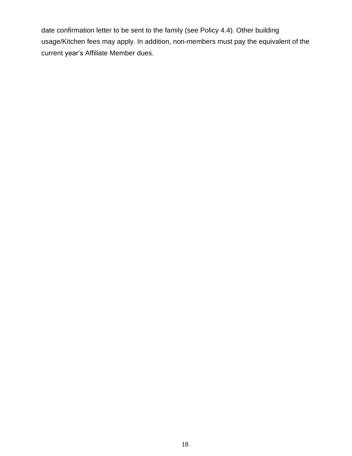date confirmation letter to be sent to the family (see Policy 4.4). Other building usage/Kitchen fees may apply. In addition, non-members must pay the equivalent of the current year's Affiliate Member dues.